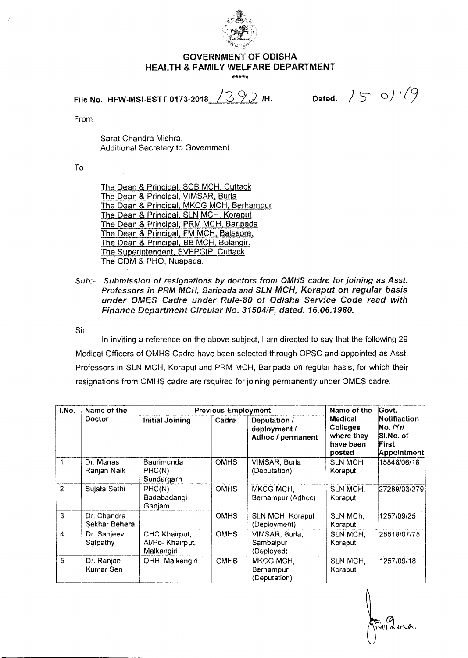

## **GOVERNMENT OF ODISHA HEALTH & FAMILY WELFARE DEPARTMENT**

**File No. HFW-MSI-ESTT-0173-2018**  $\sqrt{392}$  /H. Dated.  $\sqrt{5.0}/\sqrt{9}$ 

From

Sarat Chandra Mishra, Additional Secretary to Government

To

The Dean & Principal, SCB MCH, Cuttack The Dean & Principal, VIMSAR, Burla The Dean & Principal, MKCG MCH, Berhampur The Dean & Principal, SLN MCH, Koraput The Dean & Principal, PRM MCH, Baripada The Dean & Principal, FM MCH, Balasore, The Dean & Principal, BB MCH, Bolangir. The Superintendent, SVPPGIP, Cuttack The CDM & PHO, Nuapada.

Sub:- Submission of resignations by doctors from OMHS cadre for joining as Asst. Professors in PRM MCH, Baripada and SLN MCH, Koraput on regular basis under OMES Cadre under Rule-80 of Odisha Service Code read with Finance Department Circular No. 31504/F, dated. 16.06.1980.

Sir,

In inviting a reference on the above subject, I am directed to say that the following 29 Medical Officers of OMHS Cadre have been selected through OPSC and appointed as Asst. Professors in SLN MCH, Koraput and PRM MCH, Baripada on regular basis, for which their resignations from OMHS cadre are required for joining permanently under OMES cadre.

| I.No.          | Name of the<br>Doctor        | <b>Previous Employment</b>                      |             |                                                   | Name of the                                                     | Govt.                                                         |
|----------------|------------------------------|-------------------------------------------------|-------------|---------------------------------------------------|-----------------------------------------------------------------|---------------------------------------------------------------|
|                |                              | <b>Initial Joining</b>                          | Cadre       | Deputation /<br>deployment /<br>Adhoc / permanent | Medical<br><b>Colleges</b><br>where they<br>have been<br>posted | Notifiaction<br>No. /Yr/<br>SI.No. of<br>First<br>Appointment |
| 1              | Dr. Manas<br>Ranjan Naik     | Baurimunda<br>PHC(N)<br>Sundargarh              | <b>OMHS</b> | VIMSAR, Burla<br>(Deputation)                     | SLN MCH.<br>Koraput                                             | 15848/06/18                                                   |
| $\overline{2}$ | Sujata Sethi                 | PHC(N)<br>Badabadangi<br>Ganjam                 | <b>OMHS</b> | MKCG MCH.<br>Berhampur (Adhoc)                    | SLN MCH,<br>Koraput                                             | 27289/03/279                                                  |
| 3              | Dr. Chandra<br>Sekhar Behera |                                                 | <b>OMHS</b> | SLN MCH, Koraput<br>(Deployment)                  | SLN MCh,<br>Koraput                                             | 1257/09/25                                                    |
| 4              | Dr. Sanjeev<br>Satpathy      | CHC Khairput,<br>At/Po- Khairput.<br>Malkangiri | <b>OMHS</b> | VIMSAR, Burla,<br>Sambalpur<br>(Deployed)         | SLN MCH,<br>Koraput                                             | 25518/07/75                                                   |
| 5              | Dr. Ranjan<br>Kumar Sen      | DHH, Malkangiri                                 | <b>OMHS</b> | MKCG MCH,<br>Berhampur<br>(Deputation)            | SLN MCH,<br>Koraput                                             | 1257/09/18                                                    |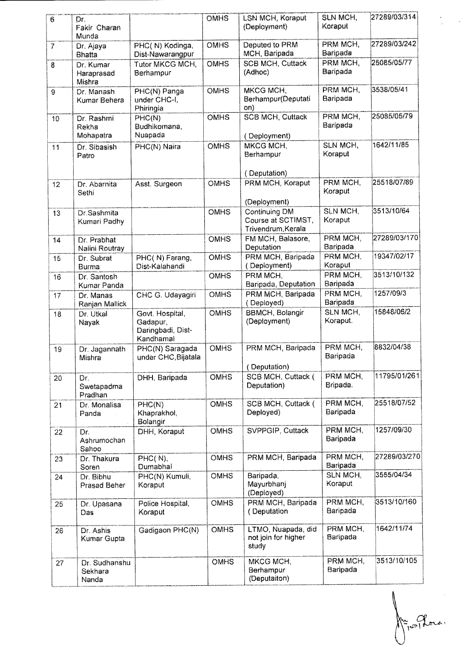| $\overline{6}$ | Dr.<br>Fakir Charan                 |                                                               | <b>OMHS</b> | LSN MCH, Koraput<br>(Deployment)                          | SLN MCH.<br>Koraput         | 27289/03/314 |
|----------------|-------------------------------------|---------------------------------------------------------------|-------------|-----------------------------------------------------------|-----------------------------|--------------|
| $\overline{7}$ | Munda<br>Dr. Ajaya<br><b>Bhatta</b> | PHC(N) Kodinga,<br>Dist-Nawarangpur                           | <b>OMHS</b> | Deputed to PRM<br>MCH, Baripada                           | PRM MCH,<br>Baripada        | 27289/03/242 |
| 8              | Dr. Kumar<br>Haraprasad<br>Mishra   | <b>Tutor MKCG MCH,</b><br>Berhampur                           | OMHS        | <b>SCB MCH, Cuttack</b><br>(Adhoc)                        | PRM MCH,<br>Baripada        | 25085/05/77  |
| 9              | Dr. Manash<br>Kumar Behera          | PHC(N) Panga<br>under CHC-I,<br>Phiringia                     | <b>OMHS</b> | MKCG MCH,<br>Berhampur(Deputati<br>on)                    | PRM MCH,<br>Baripada        | 3538/05/41   |
| 10             | Dr. Rashmi<br>Rekha<br>Mohapatra    | PHC(N)<br>Budhikomana,<br>Nuapada                             | OMHS        | <b>SCB MCH, Cuttack</b><br>(Deployment)                   | PRM MCH,<br>Baripada        | 25085/05/79  |
| 11             | Dr. Sibasish<br>Patro               | PHC(N) Naira                                                  | <b>OMHS</b> | MKCG MCH,<br>Berhampur                                    | SLN MCH,<br>Koraput         | 1642/11/85   |
| 12             | Dr. Abarnita<br>Sethi               | Asst. Surgeon                                                 | <b>OMHS</b> | (Deputation)<br>PRM MCH, Koraput<br>(Deployment)          | PRM MCH.<br>Koraput         | 25518/07/89  |
| 13             | Dr.Sashmita<br>Kumari Padhy         |                                                               | <b>OMHS</b> | Continuing DM<br>Course at SCTIMST,<br>Trivendrum, Kerala | SLN MCH,<br>Koraput         | 3513/10/64   |
| 14             | Dr. Prabhat<br>Nalini Routray       |                                                               | <b>OMHS</b> | FM MCH, Balasore,<br>Deputation                           | PRM MCH.<br>Baripada        | 27289/03/170 |
| 15             | Dr. Subrat<br>Burma                 | PHC(N) Farang,<br>Dist-Kalahandi                              | OMHS        | PRM MCH, Baripada<br>(Deployment)                         | PRM MCH,<br>Koraput         | 19347/02/17  |
| 16             | Dr. Santosh<br>Kumar Panda          |                                                               | <b>OMHS</b> | PRM MCH,<br>Baripada, Deputation                          | <b>PRM MCH,</b><br>Baripada | 3513/10/132  |
| 17             | Dr. Manas<br>Ranjan Mallick         | CHC G. Udayagiri                                              | <b>OMHS</b> | PRM MCH, Baripada<br>(Deployed)                           | PRM MCH.<br>Baripada        | 1257/09/3    |
| 18             | Dr. Utkal<br>Nayak                  | Govt. Hospital,<br>Gadapur,<br>Daringbadi, Dist-<br>Kandhamal | <b>OMHS</b> | <b>BBMCH, Bolangir</b><br>(Deployment)                    | SLN MCH,<br>Koraput.        | 15848/06/2   |
| 19             | Dr. Jagannath<br>Mishra             | PHC(N) Saragada<br>under CHC, Bijatala                        | <b>OMHS</b> | PRM MCH, Baripada<br>(Deputation)                         | PRM MCH,<br>Baripada        | 8832/04/38   |
| 20             | Dr.<br>Swetapadma<br>Pradhan        | DHH, Baripada                                                 | <b>OMHS</b> | SCB MCH, Cuttack (<br>Deputation)                         | PRM MCH.<br>Bripada.        | 11795/01/261 |
| 21             | Dr. Monalisa<br>Panda               | PHC(N)<br>Khaprakhol,<br>Bolangir                             | <b>OMHS</b> | SCB MCH, Cuttack (<br>Deployed)                           | PRM MCH,<br>Baripada        | 25518/07/52  |
| 22             | Dr.<br>Ashrumochan<br>Sahoo         | DHH, Koraput                                                  | <b>OMHS</b> | SVPPGIP, Cuttack                                          | PRM MCH,<br>Baripada        | 1257/09/30   |
| 23             | Dr. Thakura<br>Soren                | PHC(N),<br>Dumabhal                                           | <b>OMHS</b> | PRM MCH, Baripada                                         | PRM MCH,<br>Baripada        | 27289/03/270 |
| 24             | Dr. Bibhu<br><b>Prasad Beher</b>    | PHC(N) Kumuli,<br>Koraput                                     | OMHS        | Baripada,<br>Mayurbhanj<br>(Deployed)                     | SLN MCH,<br>Koraput         | 3555/04/34   |
| 25             | Dr. Upasana<br>Das                  | Police Hospital,<br>Koraput                                   | <b>OMHS</b> | PRM MCH, Baripada<br>(Deputation                          | PRM MCH,<br>Baripada        | 3513/10/160  |
| 26             | Dr. Ashis<br>Kumar Gupta            | Gadigaon PHC(N)                                               | <b>OMHS</b> | LTMO, Nuapada, did<br>not join for higher<br>study        | PRM MCH,<br>Baripada        | 1642/11/74   |
| 27             | Dr. Sudhanshu<br>Sekhara<br>Nanda   |                                                               | <b>OMHS</b> | MKCG MCH,<br>Berhampur<br>(Deputaiton)                    | PRM MCH,<br>Baripada        | 3513/10/105  |

 $\overline{\mathcal{N}}$  $R_{\text{right}}$ ria.